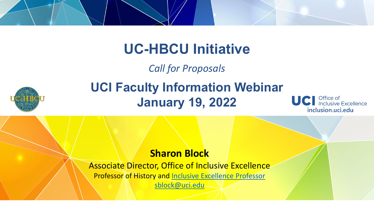### **UC-HBCU Initiative**

*Call for Proposals*



### **UCI Faculty Information Webinar January 19, 2022**



### **Sharon Block**

Associate Director, Office of Inclusive Excellence

Professor of History and [Inclusive Excellence Professor](https://ap.uci.edu/resources/facultydev/inclusiveexcellenceprofs/)

[sblock@uci.edu](mailto:sblock@uci.edu)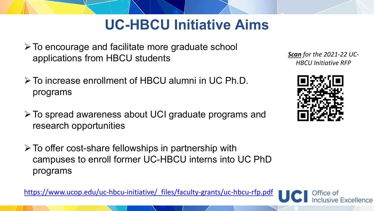### **UC-HBCU Initiative Aims**

- $\triangleright$  To encourage and facilitate more graduate school applications from HBCU students
- To increase enrollment of HBCU alumni in UC Ph.D. programs
- To spread awareness about UCI graduate programs and research opportunities
- $\triangleright$  To offer cost-share fellowships in partnership with campuses to enroll former UC-HBCU interns into UC PhD programs

https://www.ucop.edu/uc-hbcu-initiative/ files/faculty-grants/uc-hbcu-rfp.pdf





usive Excellence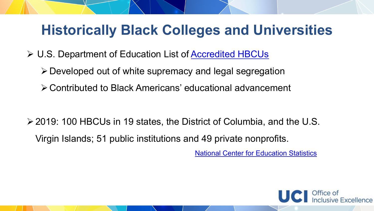### **Historically Black Colleges and Universities**

- U.S. Department of Education List of [Accredited HBCUs](https://sites.ed.gov/whhbcu/one-hundred-and-five-historically-black-colleges-and-universities/)
	- Developed out of white supremacy and legal segregation
	- Contributed to Black Americans' educational advancement

2019: 100 HBCUs in 19 states, the District of Columbia, and the U.S. Virgin Islands; 51 public institutions and 49 private nonprofits.

[National Center for Education Statistics](https://nces.ed.gov/fastfacts/display.asp?id=667)

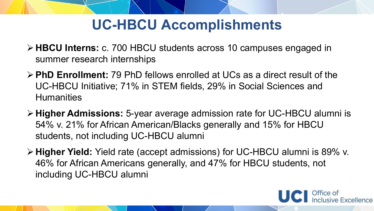### **UC-HBCU Accomplishments**

- **HBCU Interns:** c. 700 HBCU students across 10 campuses engaged in summer research internships
- **PhD Enrollment:** 79 PhD fellows enrolled at UCs as a direct result of the UC-HBCU Initiative; 71% in STEM fields, 29% in Social Sciences and **Humanities**
- **Higher Admissions:** 5-year average admission rate for UC-HBCU alumni is 54% v. 21% for African American/Blacks generally and 15% for HBCU students, not including UC-HBCU alumni
- **Higher Yield:** Yield rate (accept admissions) for UC-HBCU alumni is 89% v. 46% for African Americans generally, and 47% for HBCU students, not including UC-HBCU alumni

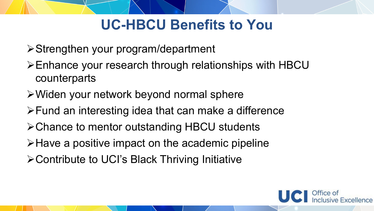## **UC-HBCU Benefits to You**

- Strengthen your program/department
- Enhance your research through relationships with HBCU counterparts
- Widen your network beyond normal sphere
- Fund an interesting idea that can make a difference
- **≻Chance to mentor outstanding HBCU students**
- $\triangleright$  Have a positive impact on the academic pipeline
- Contribute to UCI's Black Thriving Initiative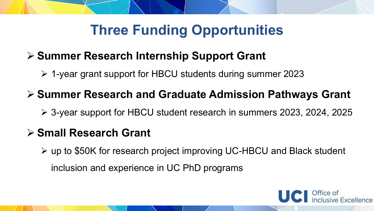# **Three Funding Opportunities**

### **Summer Research Internship Support Grant**

1-year grant support for HBCU students during summer 2023

### **Summer Research and Graduate Admission Pathways Grant**

3-year support for HBCU student research in summers 2023, 2024, 2025

### **Small Research Grant**

up to \$50K for research project improving UC-HBCU and Black student

inclusion and experience in UC PhD programs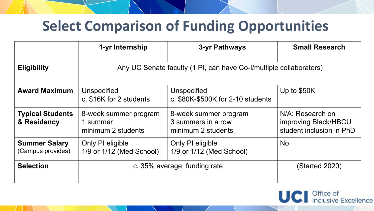### **Select Comparison of Funding Opportunities**

|                                           | 1-yr Internship                                                    | 3-yr Pathways                                                     | <b>Small Research</b>                                                |  |  |  |  |  |
|-------------------------------------------|--------------------------------------------------------------------|-------------------------------------------------------------------|----------------------------------------------------------------------|--|--|--|--|--|
| <b>Eligibility</b>                        | Any UC Senate faculty (1 PI, can have Co-I/multiple collaborators) |                                                                   |                                                                      |  |  |  |  |  |
| <b>Award Maximum</b>                      | <b>Unspecified</b><br>c. \$16K for 2 students                      | <b>Unspecified</b><br>c. \$80K-\$500K for 2-10 students           | Up to $$50K$                                                         |  |  |  |  |  |
| <b>Typical Students</b><br>& Residency    | 8-week summer program<br>1 summer<br>minimum 2 students            | 8-week summer program<br>3 summers in a row<br>minimum 2 students | N/A: Research on<br>improving Black/HBCU<br>student inclusion in PhD |  |  |  |  |  |
| <b>Summer Salary</b><br>(Campus provides) | Only PI eligible<br>1/9 or 1/12 (Med School)                       | Only PI eligible<br>1/9 or 1/12 (Med School)                      | <b>No</b>                                                            |  |  |  |  |  |
| <b>Selection</b>                          | c. 35% average funding rate                                        | <b>(Started 2020)</b>                                             |                                                                      |  |  |  |  |  |

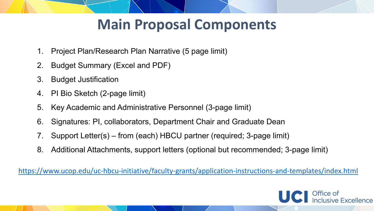# **Main Proposal Components**

- 1. Project Plan/Research Plan Narrative (5 page limit)
- 2. Budget Summary (Excel and PDF)
- 3. Budget Justification
- 4. PI Bio Sketch (2-page limit)
- 5. Key Academic and Administrative Personnel (3-page limit)
- 6. Signatures: PI, collaborators, Department Chair and Graduate Dean
- 7. Support Letter(s) from (each) HBCU partner (required; 3-page limit)
- 8. Additional Attachments, support letters (optional but recommended; 3-page limit)

<https://www.ucop.edu/uc-hbcu-initiative/faculty-grants/application-instructions-and-templates/index.html>

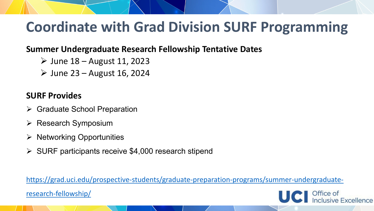# **Coordinate with Grad Division SURF Programming**

#### **Summer Undergraduate Research Fellowship Tentative Dates**

- $\triangleright$  June 18 August 11, 2023
- $\triangleright$  June 23 August 16, 2024

#### **SURF Provides**

- **▶ Graduate School Preparation**
- $\triangleright$  Research Symposium
- $\triangleright$  Networking Opportunities
- $\triangleright$  SURF participants receive \$4,000 research stipend

[https://grad.uci.edu/prospective-students/graduate-preparation-programs/summer-undergraduate-](https://grad.uci.edu/prospective-students/graduate-preparation-programs/summer-undergraduate-research-fellowship/)

research-fellowship/

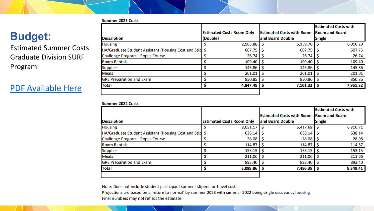#### **Summer 2023 Costs**

### **Budget:**

Estimated Summer Costs Graduate Division SURF Program

#### [PDF Available Here](https://drive.google.com/file/d/1A09TvOpYRc1LDIu8geJU2wsKby-OrVm7/view?usp=sharing)

|                                                          |                                  |                                  | <b>Estimated Costs with</b> |
|----------------------------------------------------------|----------------------------------|----------------------------------|-----------------------------|
|                                                          | <b>Estimated Costs Room Only</b> | <b>Estimated Costs with Room</b> | <b>Room and Board</b>       |
| <b>Description</b>                                       | (Double)                         | and Board Double                 | <b>Single</b>               |
| <b>Housing</b>                                           | 2,905.88                         | 5,159.70                         | 6,010.20                    |
| HA/Graduate Student Assistant (Housing Cost and Stipe \$ | 607.75                           | 607.75                           | 607.75                      |
| <b>Challenge Program - Ropes Course</b>                  | 26.74                            | 26.74                            | 26.74                       |
| <b>Room Rentals</b>                                      | 109.40                           | 109.40                           | 109.40                      |
| <b>Supplies</b>                                          | 145.86                           | 145.86                           | 145.86                      |
| Meals                                                    | 201.01                           | 201.01                           | 201.01                      |
| <b>GRE Preparation and Exam</b>                          | 850.85                           | 850.86                           | 850.86                      |
| <b>Total</b>                                             | 4,847.49                         | 7,101.32                         | 7,951.82                    |
|                                                          |                                  |                                  |                             |

#### **Summer 2024 Costs**

|                                                         |                                  |  |                                  | <b>Estimated Costs with</b> |                       |
|---------------------------------------------------------|----------------------------------|--|----------------------------------|-----------------------------|-----------------------|
|                                                         |                                  |  | <b>Estimated Costs with Room</b> |                             | <b>Room and Board</b> |
| <b>Description</b>                                      | <b>Estimated Costs Room Only</b> |  | and Board Double                 | <b>Single</b>               |                       |
| <b>Housing</b>                                          | 3,051.17                         |  | 5,417.69                         |                             | 6,310.71              |
| HA/Graduate Student Assistant (Housing Cost and Stip \$ | 638.14                           |  | 638.14                           |                             | 638.14                |
| Challenge Program - Ropes Course                        | 28.08                            |  | 28.08                            |                             | 28.08                 |
| <b>Room Rentals</b>                                     | 114.87                           |  | 114.87                           |                             | 114.87                |
| <b>Supplies</b>                                         | 153.15                           |  | 153.15                           |                             | 153.15                |
| <b>Meals</b>                                            | 211.06                           |  | 211.06                           |                             | 211.06                |
| <b>GRE Preparation and Exam</b>                         | 893.40                           |  | 893.40                           |                             | 893.40                |
| Total                                                   | $5,089.86$   \$                  |  | 7,456.38                         |                             | 8,349.41              |
|                                                         |                                  |  |                                  |                             |                       |

Note: Does not include student participant summer stipend or travel costs

Projections are based on a 'return to normal' by summer 2023 with summer 2022 being single occupancy housing Final numbers may not reflect the estimate.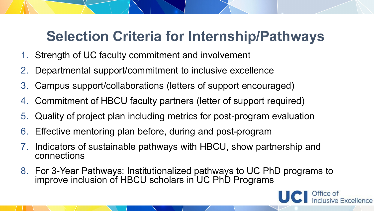# **Selection Criteria for Internship/Pathways**

- 1. Strength of UC faculty commitment and involvement
- 2. Departmental support/commitment to inclusive excellence
- 3. Campus support/collaborations (letters of support encouraged)
- 4. Commitment of HBCU faculty partners (letter of support required)
- 5. Quality of project plan including metrics for post-program evaluation
- 6. Effective mentoring plan before, during and post-program
- Indicators of sustainable pathways with HBCU, show partnership and connections
- 8. For 3-Year Pathways: Institutionalized pathways to UC PhD programs to improve inclusion of HBCU scholars in UC PhD Programs

isive Excellence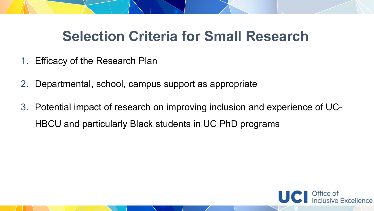# **Selection Criteria for Small Research**

- 1. Efficacy of the Research Plan
- 2. Departmental, school, campus support as appropriate
- 3. Potential impact of research on improving inclusion and experience of UC-HBCU and particularly Black students in UC PhD programs

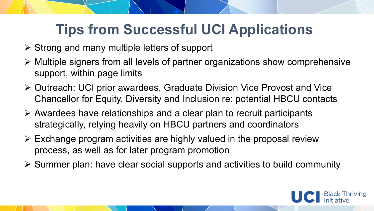# **Tips from Successful UCI Applications**

- $\triangleright$  Strong and many multiple letters of support
- Multiple signers from all levels of partner organizations show comprehensive support, within page limits
- ▶ Outreach: UCI prior awardees, Graduate Division Vice Provost and Vice Chancellor for Equity, Diversity and Inclusion re: potential HBCU contacts
- $\triangleright$  Awardees have relationships and a clear plan to recruit participants strategically, relying heavily on HBCU partners and coordinators
- $\triangleright$  Exchange program activities are highly valued in the proposal review process, as well as for later program promotion
- $\triangleright$  Summer plan: have clear social supports and activities to build community

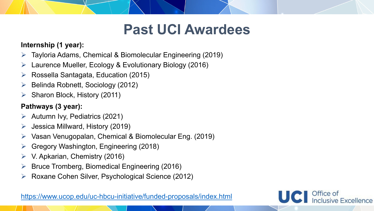### **Past UCI Awardees**

Office of

nclusive Excellence

#### **Internship (1 year):**

- Tayloria Adams, Chemical & Biomolecular Engineering (2019)
- $\triangleright$  Laurence Mueller, Ecology & Evolutionary Biology (2016)
- $\triangleright$  Rossella Santagata, Education (2015)
- Belinda Robnett, Sociology (2012)
- $\triangleright$  Sharon Block, History (2011)

#### **Pathways (3 year):**

- $\triangleright$  Autumn Ivy, Pediatrics (2021)
- $\triangleright$  Jessica Millward, History (2019)
- Vasan Venugopalan, Chemical & Biomolecular Eng. (2019)
- Gregory Washington, Engineering (2018)
- $\triangleright$  V. Apkarian, Chemistry (2016)
- Bruce Tromberg, Biomedical Engineering (2016)
- Roxane Cohen Silver, Psychological Science (2012)

<https://www.ucop.edu/uc-hbcu-initiative/funded-proposals/index.html>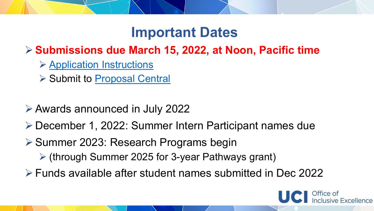### **Important Dates**

### **≻ Submissions due March 15, 2022, at Noon, Pacific time**

- **▶ [Application Instructions](https://www.ucop.edu/uc-hbcu-initiative/_files/faculty-grants/pathways-application-instructions.pdf)**
- **≻ Submit to [Proposal Central](https://proposalcentral.com/)**
- Awards announced in July 2022
- December 1, 2022: Summer Intern Participant names due
- ▶ Summer 2023: Research Programs begin
	- (through Summer 2025 for 3-year Pathways grant)
- Funds available after student names submitted in Dec 2022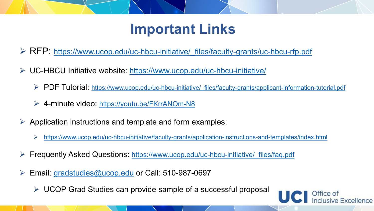# **Important Links**

▶ RFP: https://www.ucop.edu/uc-hbcu-initiative/ files/faculty-grants/uc-hbcu-rfp.pdf

- UC-HBCU Initiative website:<https://www.ucop.edu/uc-hbcu-initiative/>
	- PDF Tutorial: [https://www.ucop.edu/uc-hbcu-initiative/\\_files/faculty-grants/applicant-information-tutorial.pdf](https://www.ucop.edu/uc-hbcu-initiative/_files/faculty-grants/applicant-information-tutorial.pdf)
	- 4-minute video: <https://youtu.be/FKrrANOm-N8>
- Application instructions and template and form examples:
	- <https://www.ucop.edu/uc-hbcu-initiative/faculty-grants/application-instructions-and-templates/index.html>
- Frequently Asked Questions: https://www.ucop.edu/uc-hbcu-initiative/ files/faq.pdf
- Email: [gradstudies@ucop.edu](mailto:gradstudies@ucop.edu) or Call: 510-987-0697
	- $\triangleright$  UCOP Grad Studies can provide sample of a successful proposal